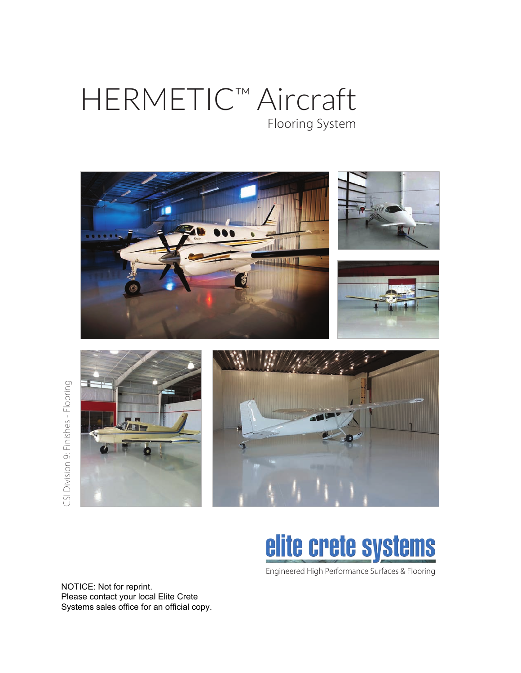## HERMETIC™ Aircraft Flooring System





# elite crete systems

Engineered High Performance Surfaces & Flooring